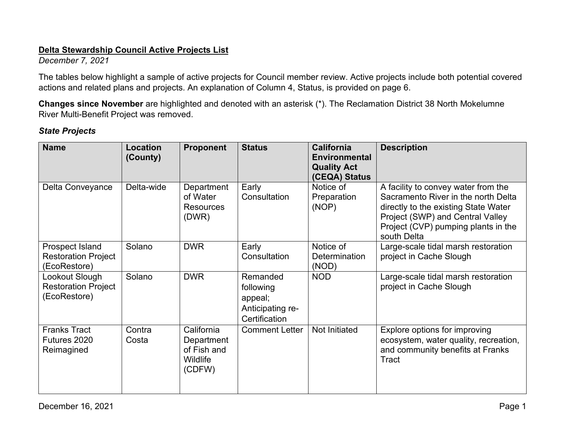#### **Delta Stewardship Council Active Projects List**

*December 7, 2021* 

 actions and related plans and projects. An explanation of Column 4, Status, is provided on page 6. The tables below highlight a sample of active projects for Council member review. Active projects include both potential covered

 River Multi-Benefit Project was removed. **Changes since November** are highlighted and denoted with an asterisk (\*). The Reclamation District 38 North Mokelumne

### *State Projects*

| <b>Name</b>                                                   | <b>Location</b><br>(County) | <b>Proponent</b>                                              | <b>Status</b>                                                         | <b>California</b><br><b>Environmental</b><br><b>Quality Act</b><br>(CEQA) Status | <b>Description</b>                                                                                                                                                                                           |
|---------------------------------------------------------------|-----------------------------|---------------------------------------------------------------|-----------------------------------------------------------------------|----------------------------------------------------------------------------------|--------------------------------------------------------------------------------------------------------------------------------------------------------------------------------------------------------------|
| Delta Conveyance                                              | Delta-wide                  | Department<br>of Water<br><b>Resources</b><br>(DWR)           | Early<br>Consultation                                                 | Notice of<br>Preparation<br>(NOP)                                                | A facility to convey water from the<br>Sacramento River in the north Delta<br>directly to the existing State Water<br>Project (SWP) and Central Valley<br>Project (CVP) pumping plants in the<br>south Delta |
| Prospect Island<br><b>Restoration Project</b><br>(EcoRestore) | Solano                      | <b>DWR</b>                                                    | Early<br>Consultation                                                 | Notice of<br><b>Determination</b><br>(NOD)                                       | Large-scale tidal marsh restoration<br>project in Cache Slough                                                                                                                                               |
| Lookout Slough<br><b>Restoration Project</b><br>(EcoRestore)  | Solano                      | <b>DWR</b>                                                    | Remanded<br>following<br>appeal;<br>Anticipating re-<br>Certification | <b>NOD</b>                                                                       | Large-scale tidal marsh restoration<br>project in Cache Slough                                                                                                                                               |
| <b>Franks Tract</b><br>Futures 2020<br>Reimagined             | Contra<br>Costa             | California<br>Department<br>of Fish and<br>Wildlife<br>(CDFW) | <b>Comment Letter</b>                                                 | Not Initiated                                                                    | Explore options for improving<br>ecosystem, water quality, recreation,<br>and community benefits at Franks<br>Tract                                                                                          |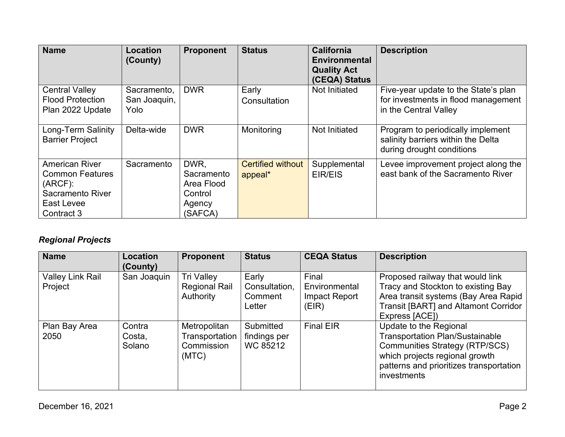| <b>Name</b>                                                                                                   | <b>Location</b><br>(County)         | <b>Proponent</b>                                                 | <b>Status</b>                       | <b>California</b><br><b>Environmental</b><br><b>Quality Act</b><br>(CEQA) Status | <b>Description</b>                                                                                   |
|---------------------------------------------------------------------------------------------------------------|-------------------------------------|------------------------------------------------------------------|-------------------------------------|----------------------------------------------------------------------------------|------------------------------------------------------------------------------------------------------|
| <b>Central Valley</b><br><b>Flood Protection</b><br>Plan 2022 Update                                          | Sacramento,<br>San Joaquin,<br>Yolo | <b>DWR</b>                                                       | Early<br>Consultation               | Not Initiated                                                                    | Five-year update to the State's plan<br>for investments in flood management<br>in the Central Valley |
| Long-Term Salinity<br><b>Barrier Project</b>                                                                  | Delta-wide                          | <b>DWR</b>                                                       | Monitoring                          | Not Initiated                                                                    | Program to periodically implement<br>salinity barriers within the Delta<br>during drought conditions |
| <b>American River</b><br><b>Common Features</b><br>$(ARCF)$ :<br>Sacramento River<br>East Levee<br>Contract 3 | Sacramento                          | DWR.<br>Sacramento<br>Area Flood<br>Control<br>Agency<br>(SAFCA) | <b>Certified without</b><br>appeal* | Supplemental<br>EIR/EIS                                                          | Levee improvement project along the<br>east bank of the Sacramento River                             |

# *Regional Projects*

| <b>Name</b>                        | Location<br>(County)       | <b>Proponent</b>                                        | <b>Status</b>                               | <b>CEQA Status</b>                               | <b>Description</b>                                                                                                                                                                                    |
|------------------------------------|----------------------------|---------------------------------------------------------|---------------------------------------------|--------------------------------------------------|-------------------------------------------------------------------------------------------------------------------------------------------------------------------------------------------------------|
| <b>Valley Link Rail</b><br>Project | San Joaquin                | <b>Tri Valley</b><br><b>Regional Rail</b><br>Authority  | Early<br>Consultation,<br>Comment<br>Letter | Final<br>Environmental<br>Impact Report<br>(EIR) | Proposed railway that would link<br>Tracy and Stockton to existing Bay<br>Area transit systems (Bay Area Rapid<br>Transit [BART] and Altamont Corridor<br>Express [ACE])                              |
| Plan Bay Area<br>2050              | Contra<br>Costa,<br>Solano | Metropolitan<br>Transportation  <br>Commission<br>(MTC) | Submitted<br>findings per<br>WC 85212       | <b>Final EIR</b>                                 | Update to the Regional<br><b>Transportation Plan/Sustainable</b><br><b>Communities Strategy (RTP/SCS)</b><br>which projects regional growth<br>patterns and prioritizes transportation<br>investments |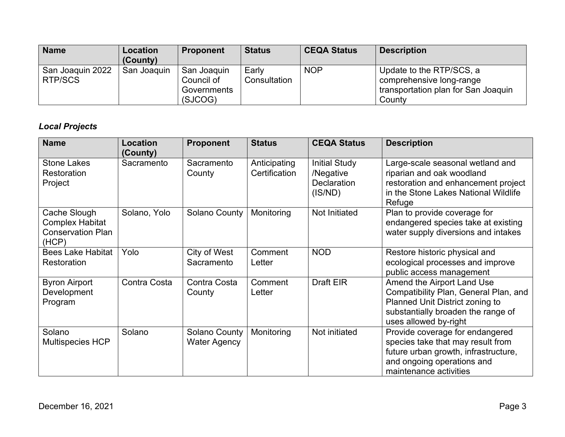| <b>Name</b>                        | Location<br>(County) | <b>Proponent</b>                                    | <b>Status</b>         | <b>CEQA Status</b> | <b>Description</b>                                                                                    |
|------------------------------------|----------------------|-----------------------------------------------------|-----------------------|--------------------|-------------------------------------------------------------------------------------------------------|
| San Joaquin 2022<br><b>RTP/SCS</b> | San Joaquin          | San Joaquin<br>Council of<br>Governments<br>(SJCOG) | Early<br>Consultation | <b>NOP</b>         | Update to the RTP/SCS, a<br>comprehensive long-range<br>transportation plan for San Joaquin<br>County |

## *Local Projects*

| <b>Name</b>                                                                 | <b>Location</b><br>(County) | <b>Proponent</b>                            | <b>Status</b>                 | <b>CEQA Status</b>                                                 | <b>Description</b>                                                                                                                                                    |
|-----------------------------------------------------------------------------|-----------------------------|---------------------------------------------|-------------------------------|--------------------------------------------------------------------|-----------------------------------------------------------------------------------------------------------------------------------------------------------------------|
| <b>Stone Lakes</b><br>Restoration<br>Project                                | Sacramento                  | Sacramento<br>County                        | Anticipating<br>Certification | <b>Initial Study</b><br>/Negative<br><b>Declaration</b><br>(IS/ND) | Large-scale seasonal wetland and<br>riparian and oak woodland<br>restoration and enhancement project<br>in the Stone Lakes National Wildlife<br>Refuge                |
| Cache Slough<br><b>Complex Habitat</b><br><b>Conservation Plan</b><br>(HCP) | Solano, Yolo                | Solano County                               | Monitoring                    | Not Initiated                                                      | Plan to provide coverage for<br>endangered species take at existing<br>water supply diversions and intakes                                                            |
| <b>Bees Lake Habitat</b><br>Restoration                                     | Yolo                        | City of West<br>Sacramento                  | Comment<br>Letter             | <b>NOD</b>                                                         | Restore historic physical and<br>ecological processes and improve<br>public access management                                                                         |
| <b>Byron Airport</b><br>Development<br>Program                              | Contra Costa                | Contra Costa<br>County                      | Comment<br>Letter             | Draft EIR                                                          | Amend the Airport Land Use<br>Compatibility Plan, General Plan, and<br>Planned Unit District zoning to<br>substantially broaden the range of<br>uses allowed by-right |
| Solano<br><b>Multispecies HCP</b>                                           | Solano                      | <b>Solano County</b><br><b>Water Agency</b> | Monitoring                    | Not initiated                                                      | Provide coverage for endangered<br>species take that may result from<br>future urban growth, infrastructure,<br>and ongoing operations and<br>maintenance activities  |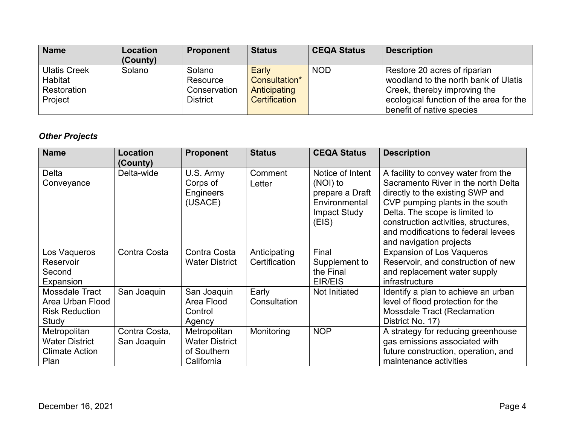| <b>Name</b>                                              | <b>Location</b><br>(County) | <b>Proponent</b>                               | <b>Status</b>                                           | <b>CEQA Status</b> | <b>Description</b>                                                                                                                                                           |
|----------------------------------------------------------|-----------------------------|------------------------------------------------|---------------------------------------------------------|--------------------|------------------------------------------------------------------------------------------------------------------------------------------------------------------------------|
| <b>Ulatis Creek</b><br>Habitat<br>Restoration<br>Project | Solano                      | Solano<br>Resource<br>Conservation<br>District | Early<br>Consultation*<br>Anticipating<br>Certification | <b>NOD</b>         | Restore 20 acres of riparian<br>woodland to the north bank of Ulatis<br>Creek, thereby improving the<br>ecological function of the area for the<br>benefit of native species |

# *Other Projects*

| <b>Name</b>                | Location<br>(County) | <b>Proponent</b>                              | <b>Status</b>     | <b>CEQA Status</b>                                                                               | <b>Description</b>                                                                                                                                                                                                                                                                            |
|----------------------------|----------------------|-----------------------------------------------|-------------------|--------------------------------------------------------------------------------------------------|-----------------------------------------------------------------------------------------------------------------------------------------------------------------------------------------------------------------------------------------------------------------------------------------------|
| <b>Delta</b><br>Conveyance | Delta-wide           | U.S. Army<br>Corps of<br>Engineers<br>(USACE) | Comment<br>Letter | Notice of Intent<br>(NOI) to<br>prepare a Draft<br>Environmental<br><b>Impact Study</b><br>(EIS) | A facility to convey water from the<br>Sacramento River in the north Delta<br>directly to the existing SWP and<br>CVP pumping plants in the south<br>Delta. The scope is limited to<br>construction activities, structures,<br>and modifications to federal levees<br>and navigation projects |
| Los Vaqueros               | Contra Costa         | Contra Costa                                  | Anticipating      | Final                                                                                            | <b>Expansion of Los Vaqueros</b>                                                                                                                                                                                                                                                              |
| Reservoir                  |                      | <b>Water District</b>                         | Certification     | Supplement to                                                                                    | Reservoir, and construction of new                                                                                                                                                                                                                                                            |
| Second                     |                      |                                               |                   | the Final                                                                                        | and replacement water supply                                                                                                                                                                                                                                                                  |
| Expansion                  |                      |                                               |                   | EIR/EIS                                                                                          | infrastructure                                                                                                                                                                                                                                                                                |
| Mossdale Tract             | San Joaquin          | San Joaquin                                   | Early             | Not Initiated                                                                                    | Identify a plan to achieve an urban                                                                                                                                                                                                                                                           |
| Area Urban Flood           |                      | Area Flood                                    | Consultation      |                                                                                                  | level of flood protection for the                                                                                                                                                                                                                                                             |
| <b>Risk Reduction</b>      |                      | Control                                       |                   |                                                                                                  | <b>Mossdale Tract (Reclamation</b>                                                                                                                                                                                                                                                            |
| Study                      |                      | Agency                                        |                   |                                                                                                  | District No. 17)                                                                                                                                                                                                                                                                              |
| Metropolitan               | Contra Costa,        | Metropolitan                                  | Monitoring        | <b>NOP</b>                                                                                       | A strategy for reducing greenhouse                                                                                                                                                                                                                                                            |
| <b>Water District</b>      | San Joaquin          | <b>Water District</b>                         |                   |                                                                                                  | gas emissions associated with                                                                                                                                                                                                                                                                 |
| <b>Climate Action</b>      |                      | of Southern                                   |                   |                                                                                                  | future construction, operation, and                                                                                                                                                                                                                                                           |
| Plan                       |                      | California                                    |                   |                                                                                                  | maintenance activities                                                                                                                                                                                                                                                                        |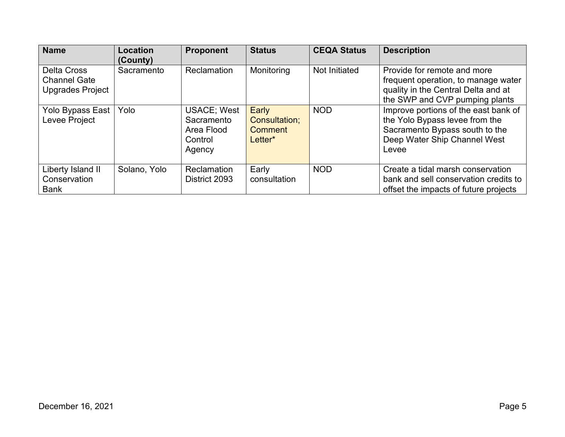| <b>Name</b>                                                   | Location<br>(County) | <b>Proponent</b>                                                    | <b>Status</b>                                              | <b>CEQA Status</b>   | <b>Description</b>                                                                                                                                |
|---------------------------------------------------------------|----------------------|---------------------------------------------------------------------|------------------------------------------------------------|----------------------|---------------------------------------------------------------------------------------------------------------------------------------------------|
| <b>Delta Cross</b><br><b>Channel Gate</b><br>Upgrades Project | Sacramento           | Reclamation                                                         | Monitoring                                                 | <b>Not Initiated</b> | Provide for remote and more<br>frequent operation, to manage water<br>quality in the Central Delta and at<br>the SWP and CVP pumping plants       |
| Yolo Bypass East<br>Levee Project                             | Yolo                 | <b>USACE: West</b><br>Sacramento<br>Area Flood<br>Control<br>Agency | Early<br><b>Consultation:</b><br><b>Comment</b><br>Letter* | <b>NOD</b>           | Improve portions of the east bank of<br>the Yolo Bypass levee from the<br>Sacramento Bypass south to the<br>Deep Water Ship Channel West<br>Levee |
| Liberty Island II<br>Conservation<br><b>Bank</b>              | Solano, Yolo         | Reclamation<br>District 2093                                        | Early<br>consultation                                      | <b>NOD</b>           | Create a tidal marsh conservation<br>bank and sell conservation credits to<br>offset the impacts of future projects                               |